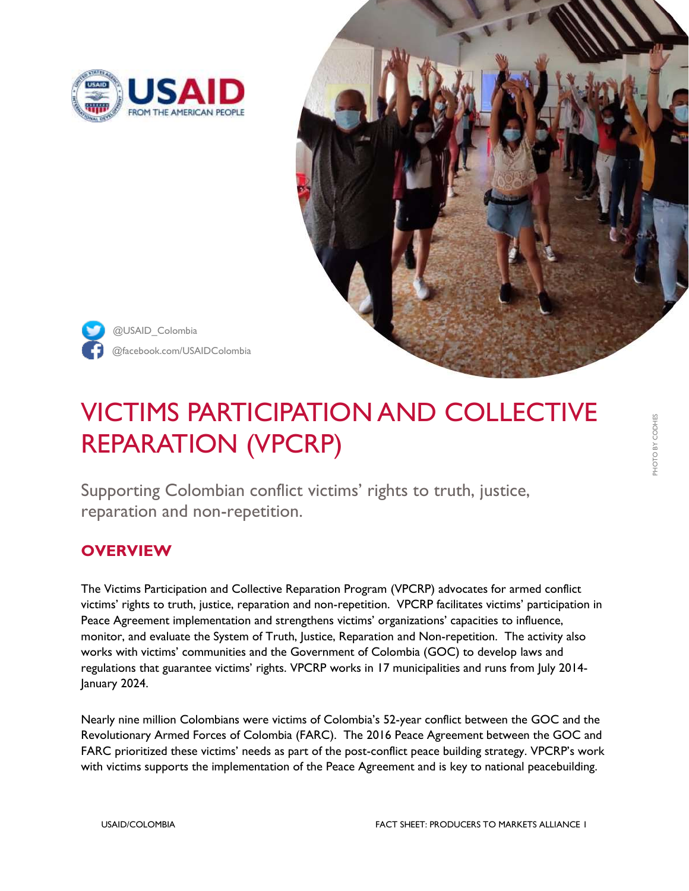



@facebook.com/USAIDColombia @USAID\_Colombia

# VICTIMS PARTICIPATION AND COLLECTIVE REPARATION (VPCRP)

Supporting Colombian conflict victims' rights to truth, justice, reparation and non-repetition.

## **OVERVIEW**

The Victims Participation and Collective Reparation Program (VPCRP) advocates for armed conflict victims' rights to truth, justice, reparation and non-repetition. VPCRP facilitates victims' participation in Peace Agreement implementation and strengthens victims' organizations' capacities to influence, monitor, and evaluate the System of Truth, Justice, Reparation and Non-repetition. The activity also works with victims' communities and the Government of Colombia (GOC) to develop laws and regulations that guarantee victims' rights. VPCRP works in 17 municipalities and runs from July 2014- January 2024.

Nearly nine million Colombians were victims of Colombia's 52-year conflict between the GOC and the Revolutionary Armed Forces of Colombia (FARC). The 2016 Peace Agreement between the GOC and FARC prioritized these victims' needs as part of the post-conflict peace building strategy. VPCRP's work with victims supports the implementation of the Peace Agreement and is key to national peacebuilding.